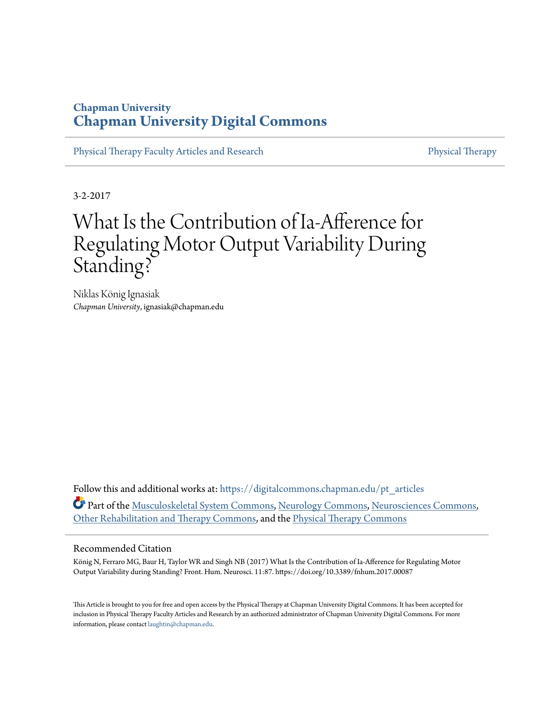## **Chapman University [Chapman University Digital Commons](https://digitalcommons.chapman.edu?utm_source=digitalcommons.chapman.edu%2Fpt_articles%2F111&utm_medium=PDF&utm_campaign=PDFCoverPages)**

[Physical Therapy Faculty Articles and Research](https://digitalcommons.chapman.edu/pt_articles?utm_source=digitalcommons.chapman.edu%2Fpt_articles%2F111&utm_medium=PDF&utm_campaign=PDFCoverPages) [Physical Therapy](https://digitalcommons.chapman.edu/physicaltherapy?utm_source=digitalcommons.chapman.edu%2Fpt_articles%2F111&utm_medium=PDF&utm_campaign=PDFCoverPages)

3-2-2017

# What Is the Contribution of Ia-Afference for Regulating Motor Output Variability During Standing?

Niklas König Ignasiak *Chapman University*, ignasiak@chapman.edu

Follow this and additional works at: [https://digitalcommons.chapman.edu/pt\\_articles](https://digitalcommons.chapman.edu/pt_articles?utm_source=digitalcommons.chapman.edu%2Fpt_articles%2F111&utm_medium=PDF&utm_campaign=PDFCoverPages) Part of the [Musculoskeletal System Commons,](http://network.bepress.com/hgg/discipline/938?utm_source=digitalcommons.chapman.edu%2Fpt_articles%2F111&utm_medium=PDF&utm_campaign=PDFCoverPages) [Neurology Commons,](http://network.bepress.com/hgg/discipline/692?utm_source=digitalcommons.chapman.edu%2Fpt_articles%2F111&utm_medium=PDF&utm_campaign=PDFCoverPages) [Neurosciences Commons,](http://network.bepress.com/hgg/discipline/1010?utm_source=digitalcommons.chapman.edu%2Fpt_articles%2F111&utm_medium=PDF&utm_campaign=PDFCoverPages) [Other Rehabilitation and Therapy Commons](http://network.bepress.com/hgg/discipline/758?utm_source=digitalcommons.chapman.edu%2Fpt_articles%2F111&utm_medium=PDF&utm_campaign=PDFCoverPages), and the [Physical Therapy Commons](http://network.bepress.com/hgg/discipline/754?utm_source=digitalcommons.chapman.edu%2Fpt_articles%2F111&utm_medium=PDF&utm_campaign=PDFCoverPages)

#### Recommended Citation

König N, Ferraro MG, Baur H, Taylor WR and Singh NB (2017) What Is the Contribution of Ia-Afference for Regulating Motor Output Variability during Standing? Front. Hum. Neurosci. 11:87. https://doi.org/10.3389/fnhum.2017.00087

This Article is brought to you for free and open access by the Physical Therapy at Chapman University Digital Commons. It has been accepted for inclusion in Physical Therapy Faculty Articles and Research by an authorized administrator of Chapman University Digital Commons. For more information, please contact [laughtin@chapman.edu](mailto:laughtin@chapman.edu).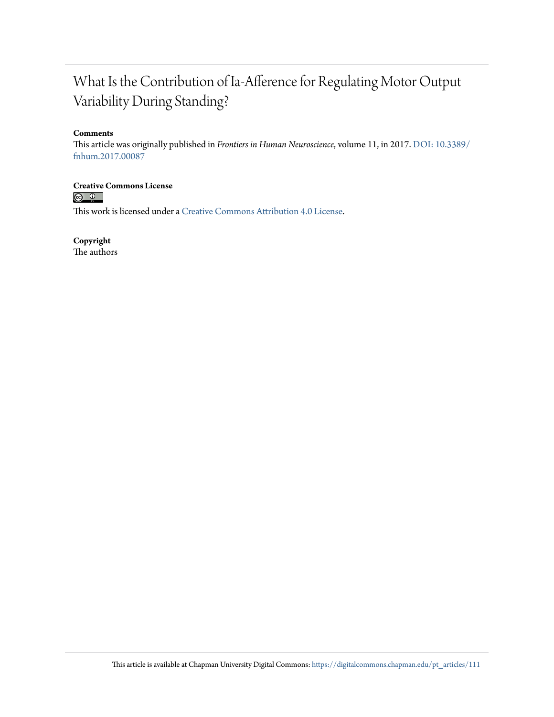## What Is the Contribution of Ia-Afference for Regulating Motor Output Variability During Standing?

#### **Comments**

This article was originally published in *Frontiers in Human Neuroscience*, volume 11, in 2017. [DOI: 10.3389/](https://doi.org/10.3389/fnhum.2017.00087) [fnhum.2017.00087](https://doi.org/10.3389/fnhum.2017.00087)

**Creative Commons License**<br> **C Q Q** 

This work is licensed under a [Creative Commons Attribution 4.0 License.](https://creativecommons.org/licenses/by/4.0/)

**Copyright**

The authors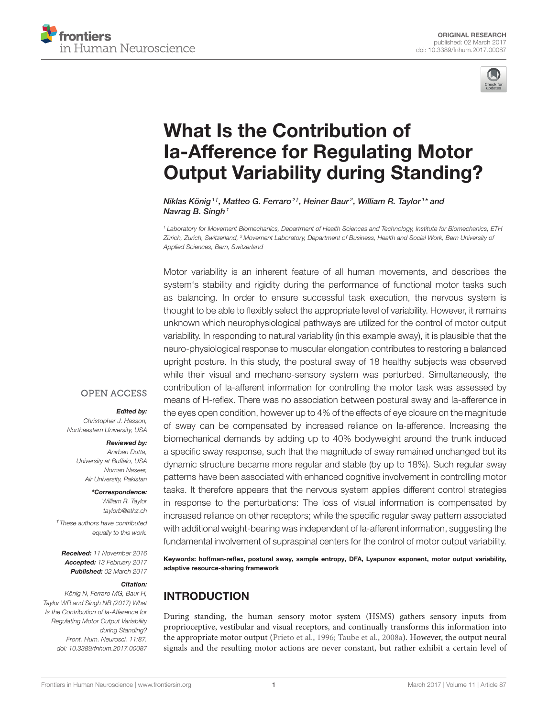



# What Is the Contribution of Ia-Afference for Regulating Motor [Output Variability during Standing?](http://journal.frontiersin.org/article/10.3389/fnhum.2017.00087/abstract)

[Niklas König](http://loop.frontiersin.org/people/288983/overview)<sup>1†</sup>, Matteo G. Ferraro<sup>2†</sup>, Heiner Baur<sup>2</sup>, [William R. Taylor](http://loop.frontiersin.org/people/349610/overview)<sup>1\*</sup> and [Navrag B. Singh](http://loop.frontiersin.org/people/350976/overview)<sup>1</sup>

<sup>1</sup> Laboratory for Movement Biomechanics, Department of Health Sciences and Technology, Institute for Biomechanics, ETH Zürich, Zurich, Switzerland, <sup>2</sup> Movement Laboratory, Department of Business, Health and Social Work, Bern University of Applied Sciences, Bern, Switzerland

Motor variability is an inherent feature of all human movements, and describes the system's stability and rigidity during the performance of functional motor tasks such as balancing. In order to ensure successful task execution, the nervous system is thought to be able to flexibly select the appropriate level of variability. However, it remains unknown which neurophysiological pathways are utilized for the control of motor output variability. In responding to natural variability (in this example sway), it is plausible that the neuro-physiological response to muscular elongation contributes to restoring a balanced upright posture. In this study, the postural sway of 18 healthy subjects was observed while their visual and mechano-sensory system was perturbed. Simultaneously, the contribution of Ia-afferent information for controlling the motor task was assessed by means of H-reflex. There was no association between postural sway and Ia-afference in the eyes open condition, however up to 4% of the effects of eye closure on the magnitude of sway can be compensated by increased reliance on Ia-afference. Increasing the biomechanical demands by adding up to 40% bodyweight around the trunk induced a specific sway response, such that the magnitude of sway remained unchanged but its dynamic structure became more regular and stable (by up to 18%). Such regular sway patterns have been associated with enhanced cognitive involvement in controlling motor tasks. It therefore appears that the nervous system applies different control strategies in response to the perturbations: The loss of visual information is compensated by increased reliance on other receptors; while the specific regular sway pattern associated with additional weight-bearing was independent of Ia-afferent information, suggesting the fundamental involvement of supraspinal centers for the control of motor output variability.

Keywords: hoffman-reflex, postural sway, sample entropy, DFA, Lyapunov exponent, motor output variability, adaptive resource-sharing framework

## INTRODUCTION

During standing, the human sensory motor system (HSMS) gathers sensory inputs from proprioceptive, vestibular and visual receptors, and continually transforms this information into the appropriate motor output [\(Prieto et al., 1996;](#page-9-0) [Taube et al., 2008a\)](#page-9-1). However, the output neural signals and the resulting motor actions are never constant, but rather exhibit a certain level of

#### **OPEN ACCESS**

#### Edited by:

Christopher J. Hasson, Northeastern University, USA

#### Reviewed by:

Anirban Dutta, University at Buffalo, USA Noman Naseer, Air University, Pakistan

> \*Correspondence: William R. Taylor

[taylorb@ethz.ch](mailto:taylorb@ethz.ch) † These authors have contributed

equally to this work.

Received: 11 November 2016 Accepted: 13 February 2017 Published: 02 March 2017

#### Citation:

König N, Ferraro MG, Baur H, Taylor WR and Singh NB (2017) What Is the Contribution of Ia-Afference for Regulating Motor Output Variability during Standing? Front. Hum. Neurosci. 11:87. doi: [10.3389/fnhum.2017.00087](https://doi.org/10.3389/fnhum.2017.00087)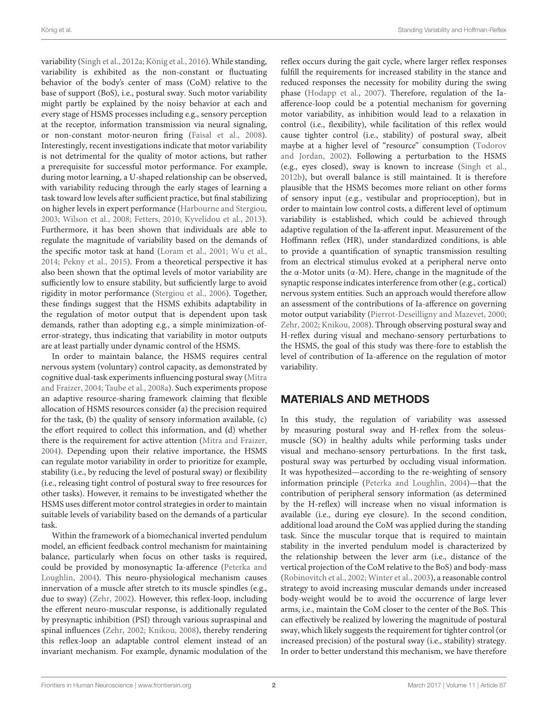variability [\(Singh et al., 2012a;](#page-9-2) [König et al., 2016\)](#page-9-3). While standing, variability is exhibited as the non-constant or fluctuating behavior of the body's center of mass (CoM) relative to the base of support (BoS), i.e., postural sway. Such motor variability might partly be explained by the noisy behavior at each and every stage of HSMS processes including e.g., sensory perception at the receptor, information transmission via neural signaling, or non-constant motor-neuron firing [\(Faisal et al., 2008\)](#page-9-4). Interestingly, recent investigations indicate that motor variability is not detrimental for the quality of motor actions, but rather a prerequisite for successful motor performance. For example, during motor learning, a U-shaped relationship can be observed, with variability reducing through the early stages of learning a task toward low levels after sufficient practice, but final stabilizing on higher levels in expert performance [\(Harbourne and Stergiou,](#page-9-5) [2003;](#page-9-5) [Wilson et al., 2008;](#page-10-0) [Fetters, 2010;](#page-9-6) [Kyvelidou et al., 2013\)](#page-9-7). Furthermore, it has been shown that individuals are able to regulate the magnitude of variability based on the demands of the specific motor task at hand [\(Loram et al., 2001;](#page-9-8) [Wu et al.,](#page-10-1) [2014;](#page-10-1) [Pekny et al., 2015\)](#page-9-9). From a theoretical perspective it has also been shown that the optimal levels of motor variability are sufficiently low to ensure stability, but sufficiently large to avoid rigidity in motor performance [\(Stergiou et al., 2006\)](#page-9-10). Together, these findings suggest that the HSMS exhibits adaptability in the regulation of motor output that is dependent upon task demands, rather than adopting e.g., a simple minimization-oferror-strategy, thus indicating that variability in motor outputs are at least partially under dynamic control of the HSMS.

In order to maintain balance, the HSMS requires central nervous system (voluntary) control capacity, as demonstrated by cognitive dual-task experiments influencing postural sway (Mitra and Fraizer, [2004;](#page-9-11) [Taube et al., 2008a\)](#page-9-1). Such experiments propose an adaptive resource-sharing framework claiming that flexible allocation of HSMS resources consider **(**a) the precision required for the task, **(**b) the quality of sensory information available, (c) the effort required to collect this information, and **(**d) whether there is the requirement for active attention [\(Mitra and Fraizer,](#page-9-11) [2004\)](#page-9-11). Depending upon their relative importance, the HSMS can regulate motor variability in order to prioritize for example, stability (i.e., by reducing the level of postural sway) or flexibility (i.e., releasing tight control of postural sway to free resources for other tasks). However, it remains to be investigated whether the HSMS uses different motor control strategies in order to maintain suitable levels of variability based on the demands of a particular task.

Within the framework of a biomechanical inverted pendulum model, an efficient feedback control mechanism for maintaining balance, particularly when focus on other tasks is required, could be provided by monosynaptic Ia-afference (Peterka and Loughlin, [2004\)](#page-9-12). This neuro-physiological mechanism causes innervation of a muscle after stretch to its muscle spindles (e.g., due to sway) [\(Zehr, 2002\)](#page-10-2). However, this reflex-loop, including the efferent neuro-muscular response, is additionally regulated by presynaptic inhibition (PSI) through various supraspinal and spinal influences [\(Zehr, 2002;](#page-10-2) [Knikou, 2008\)](#page-9-13), thereby rendering this reflex-loop an adaptable control element instead of an invariant mechanism. For example, dynamic modulation of the

reflex occurs during the gait cycle, where larger reflex responses fulfill the requirements for increased stability in the stance and reduced responses the necessity for mobility during the swing phase [\(Hodapp et al., 2007\)](#page-9-14). Therefore, regulation of the Iaafference-loop could be a potential mechanism for governing motor variability, as inhibition would lead to a relaxation in control (i.e., flexibility), while facilitation of this reflex would cause tighter control (i.e., stability) of postural sway, albeit maybe at a higher level of "resource" consumption (Todorov and Jordan, [2002\)](#page-10-3). Following a perturbation to the HSMS (e.g., eyes closed), sway is known to increase [\(Singh et al.,](#page-9-15) [2012b\)](#page-9-15), but overall balance is still maintained. It is therefore plausible that the HSMS becomes more reliant on other forms of sensory input (e.g., vestibular and proprioception), but in order to maintain low control costs, a different level of optimum variability is established, which could be achieved through adaptive regulation of the Ia-afferent input. Measurement of the Hoffmann reflex (HR), under standardized conditions, is able to provide a quantification of synaptic transmission resulting from an electrical stimulus evoked at a peripheral nerve onto the α-Motor units ( $α$ -M). Here, change in the magnitude of the synaptic response indicates interference from other (e.g., cortical) nervous system entities. Such an approach would therefore allow an assessment of the contributions of Ia-afference on governing motor output variability [\(Pierrot-Deseilligny and Mazevet, 2000;](#page-9-16) [Zehr, 2002;](#page-10-2) [Knikou, 2008\)](#page-9-13). Through observing postural sway and H-reflex during visual and mechano-sensory perturbations to the HSMS, the goal of this study was there-fore to establish the level of contribution of Ia-afference on the regulation of motor variability.

## MATERIALS AND METHODS

In this study, the regulation of variability was assessed by measuring postural sway and H-reflex from the soleusmuscle (SO) in healthy adults while performing tasks under visual and mechano-sensory perturbations. In the first task, postural sway was perturbed by occluding visual information. It was hypothesized—according to the re-weighting of sensory information principle [\(Peterka and Loughlin, 2004\)](#page-9-12)—that the contribution of peripheral sensory information (as determined by the H-reflex) will increase when no visual information is available (i.e., during eye closure). In the second condition, additional load around the CoM was applied during the standing task. Since the muscular torque that is required to maintain stability in the inverted pendulum model is characterized by the relationship between the lever arm (i.e., distance of the vertical projection of the CoM relative to the BoS) and body-mass [\(Robinovitch et al., 2002;](#page-9-17) [Winter et al., 2003\)](#page-10-4), a reasonable control strategy to avoid increasing muscular demands under increased body-weight would be to avoid the occurrence of large lever arms, i.e., maintain the CoM closer to the center of the BoS. This can effectively be realized by lowering the magnitude of postural sway, which likely suggests the requirement for tighter control (or increased precision) of the postural sway (i.e., stability) strategy. In order to better understand this mechanism, we have therefore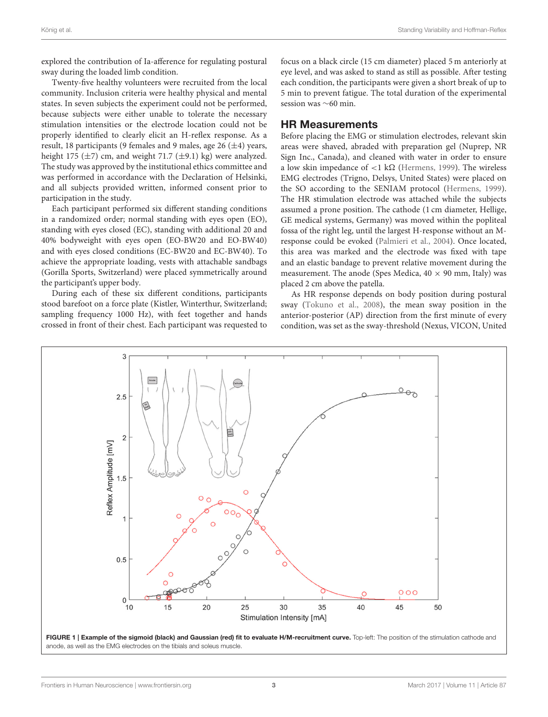explored the contribution of Ia-afference for regulating postural sway during the loaded limb condition.

Twenty-five healthy volunteers were recruited from the local community. Inclusion criteria were healthy physical and mental states. In seven subjects the experiment could not be performed, because subjects were either unable to tolerate the necessary stimulation intensities or the electrode location could not be properly identified to clearly elicit an H-reflex response. As a result, 18 participants (9 females and 9 males, age 26  $(\pm 4)$  years, height 175  $(\pm 7)$  cm, and weight 71.7  $(\pm 9.1)$  kg) were analyzed. The study was approved by the institutional ethics committee and was performed in accordance with the Declaration of Helsinki, and all subjects provided written, informed consent prior to participation in the study.

Each participant performed six different standing conditions in a randomized order; normal standing with eyes open (EO), standing with eyes closed (EC), standing with additional 20 and 40% bodyweight with eyes open (EO-BW20 and EO-BW40) and with eyes closed conditions (EC-BW20 and EC-BW40). To achieve the appropriate loading, vests with attachable sandbags (Gorilla Sports, Switzerland) were placed symmetrically around the participant's upper body.

During each of these six different conditions, participants stood barefoot on a force plate (Kistler, Winterthur, Switzerland; sampling frequency 1000 Hz), with feet together and hands crossed in front of their chest. Each participant was requested to focus on a black circle (15 cm diameter) placed 5 m anteriorly at eye level, and was asked to stand as still as possible. After testing each condition, the participants were given a short break of up to 5 min to prevent fatigue. The total duration of the experimental session was ∼60 min.

#### HR Measurements

Before placing the EMG or stimulation electrodes, relevant skin areas were shaved, abraded with preparation gel (Nuprep, NR Sign Inc., Canada), and cleaned with water in order to ensure a low skin impedance of  $\langle 1 \text{ k}\Omega \rangle$  [\(Hermens, 1999\)](#page-9-18). The wireless EMG electrodes (Trigno, Delsys, United States) were placed on the SO according to the SENIAM protocol [\(Hermens, 1999\)](#page-9-18). The HR stimulation electrode was attached while the subjects assumed a prone position. The cathode (1 cm diameter, Hellige, GE medical systems, Germany) was moved within the popliteal fossa of the right leg, until the largest H-response without an Mresponse could be evoked [\(Palmieri et al., 2004\)](#page-9-19). Once located, this area was marked and the electrode was fixed with tape and an elastic bandage to prevent relative movement during the measurement. The anode (Spes Medica,  $40 \times 90$  mm, Italy) was placed 2 cm above the patella.

As HR response depends on body position during postural sway [\(Tokuno et al., 2008\)](#page-10-5), the mean sway position in the anterior-posterior (AP) direction from the first minute of every condition, was set as the sway-threshold (Nexus, VICON, United

<span id="page-4-0"></span>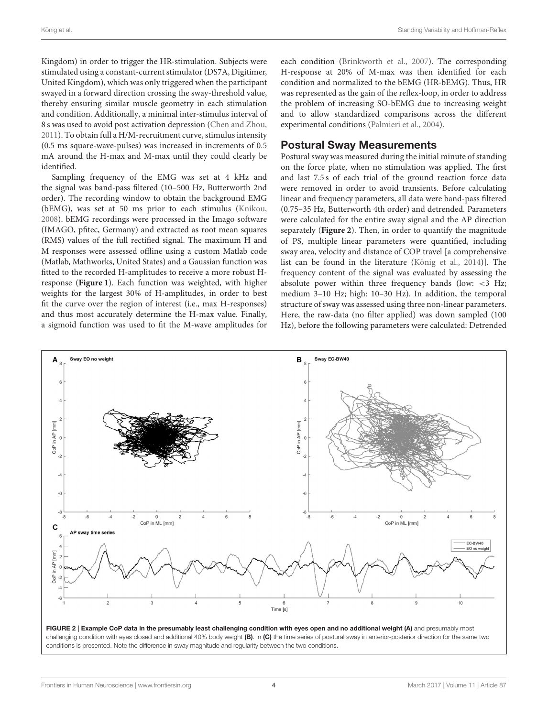Kingdom) in order to trigger the HR-stimulation. Subjects were stimulated using a constant-current stimulator (DS7A, Digitimer, United Kingdom), which was only triggered when the participant swayed in a forward direction crossing the sway-threshold value, thereby ensuring similar muscle geometry in each stimulation and condition. Additionally, a minimal inter-stimulus interval of 8 s was used to avoid post activation depression [\(Chen and Zhou,](#page-9-20) [2011\)](#page-9-20). To obtain full a H/M-recruitment curve, stimulus intensity (0.5 ms square-wave-pulses) was increased in increments of 0.5 mA around the H-max and M-max until they could clearly be identified.

Sampling frequency of the EMG was set at 4 kHz and the signal was band-pass filtered (10–500 Hz, Butterworth 2nd order). The recording window to obtain the background EMG (bEMG), was set at 50 ms prior to each stimulus [\(Knikou,](#page-9-13) [2008\)](#page-9-13). bEMG recordings were processed in the Imago software (IMAGO, pfitec, Germany) and extracted as root mean squares (RMS) values of the full rectified signal. The maximum H and M responses were assessed offline using a custom Matlab code (Matlab, Mathworks, United States) and a Gaussian function was fitted to the recorded H-amplitudes to receive a more robust Hresponse (**[Figure 1](#page-4-0)**). Each function was weighted, with higher weights for the largest 30% of H-amplitudes, in order to best fit the curve over the region of interest (i.e., max H-responses) and thus most accurately determine the H-max value. Finally, a sigmoid function was used to fit the M-wave amplitudes for each condition [\(Brinkworth et al., 2007\)](#page-9-21). The corresponding H-response at 20% of M-max was then identified for each condition and normalized to the bEMG (HR-bEMG). Thus, HR was represented as the gain of the reflex-loop, in order to address the problem of increasing SO-bEMG due to increasing weight and to allow standardized comparisons across the different experimental conditions [\(Palmieri et al., 2004\)](#page-9-19).

### Postural Sway Measurements

Postural sway was measured during the initial minute of standing on the force plate, when no stimulation was applied. The first and last 7.5 s of each trial of the ground reaction force data were removed in order to avoid transients. Before calculating linear and frequency parameters, all data were band-pass filtered (0.75–35 Hz, Butterworth 4th order) and detrended. Parameters were calculated for the entire sway signal and the AP direction separately (**[Figure 2](#page-5-0)**). Then, in order to quantify the magnitude of PS, multiple linear parameters were quantified, including sway area, velocity and distance of COP travel [a comprehensive list can be found in the literature [\(König et al., 2014\)](#page-9-22)]. The frequency content of the signal was evaluated by assessing the absolute power within three frequency bands (low: <3 Hz; medium 3–10 Hz; high: 10–30 Hz). In addition, the temporal structure of sway was assessed using three non-linear parameters. Here, the raw-data (no filter applied) was down sampled (100 Hz), before the following parameters were calculated: Detrended



<span id="page-5-0"></span>FIGURE 2 | Example CoP data in the presumably least challenging condition with eyes open and no additional weight (A) and presumably most challenging condition with eyes closed and additional 40% body weight (B). In (C) the time series of postural sway in anterior-posterior direction for the same two conditions is presented. Note the difference in sway magnitude and regularity between the two conditions.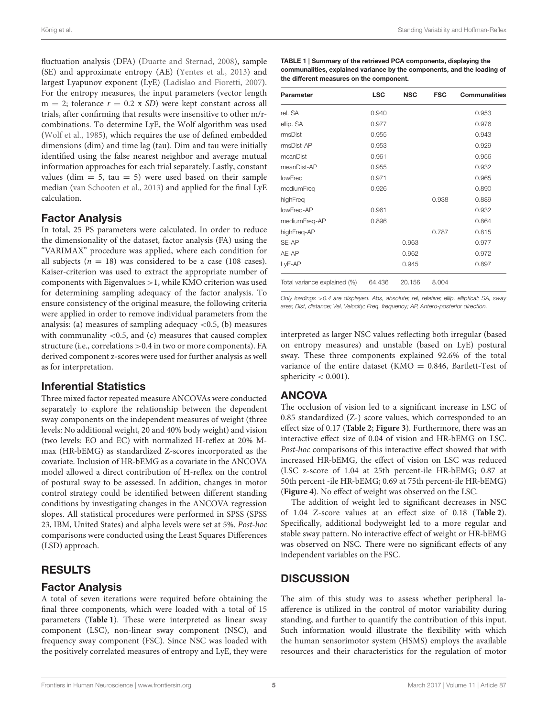fluctuation analysis (DFA) [\(Duarte and Sternad, 2008\)](#page-9-23), sample (SE) and approximate entropy (AE) [\(Yentes et al., 2013\)](#page-10-6) and largest Lyapunov exponent (LyE) [\(Ladislao and Fioretti, 2007\)](#page-9-24). For the entropy measures, the input parameters (vector length  $m = 2$ ; tolerance  $r = 0.2$  x SD) were kept constant across all trials, after confirming that results were insensitive to other m/rcombinations. To determine LyE, the Wolf algorithm was used [\(Wolf et al., 1985\)](#page-10-7), which requires the use of defined embedded dimensions (dim) and time lag (tau). Dim and tau were initially identified using the false nearest neighbor and average mutual information approaches for each trial separately. Lastly, constant values (dim  $= 5$ , tau  $= 5$ ) were used based on their sample median [\(van Schooten et al., 2013\)](#page-10-8) and applied for the final LyE calculation.

### Factor Analysis

In total, 25 PS parameters were calculated. In order to reduce the dimensionality of the dataset, factor analysis (FA) using the "VARIMAX" procedure was applied, where each condition for all subjects ( $n = 18$ ) was considered to be a case (108 cases). Kaiser-criterion was used to extract the appropriate number of components with Eigenvalues >1, while KMO criterion was used for determining sampling adequacy of the factor analysis. To ensure consistency of the original measure, the following criteria were applied in order to remove individual parameters from the analysis: (a) measures of sampling adequacy  $\langle 0.5, (b)$  measures with communality  $<$  0.5, and (c) measures that caused complex structure (i.e., correlations >0.4 in two or more components). FA derived component z-scores were used for further analysis as well as for interpretation.

#### Inferential Statistics

Three mixed factor repeated measure ANCOVAs were conducted separately to explore the relationship between the dependent sway components on the independent measures of weight (three levels: No additional weight, 20 and 40% body weight) and vision (two levels: EO and EC) with normalized H-reflex at 20% Mmax (HR-bEMG) as standardized Z-scores incorporated as the covariate. Inclusion of HR-bEMG as a covariate in the ANCOVA model allowed a direct contribution of H-reflex on the control of postural sway to be assessed. In addition, changes in motor control strategy could be identified between different standing conditions by investigating changes in the ANCOVA regression slopes. All statistical procedures were performed in SPSS (SPSS 23, IBM, United States) and alpha levels were set at 5%. Post-hoc comparisons were conducted using the Least Squares Differences (LSD) approach.

### RESULTS

#### Factor Analysis

A total of seven iterations were required before obtaining the final three components, which were loaded with a total of 15 parameters (**[Table 1](#page-6-0)**). These were interpreted as linear sway component (LSC), non-linear sway component (NSC), and frequency sway component (FSC). Since NSC was loaded with the positively correlated measures of entropy and LyE, they were <span id="page-6-0"></span>TABLE 1 | Summary of the retrieved PCA components, displaying the communalities, explained variance by the components, and the loading of the different measures on the component.

| Parameter                    | <b>LSC</b> | <b>NSC</b> | <b>FSC</b> | <b>Communalities</b> |
|------------------------------|------------|------------|------------|----------------------|
| rel. SA                      | 0.940      |            |            | 0.953                |
| ellip. SA                    | 0.977      |            |            | 0.976                |
| rmsDist                      | 0.955      |            |            | 0.943                |
| rmsDist-AP                   | 0.953      |            |            | 0.929                |
| meanDist                     | 0.961      |            |            | 0.956                |
| meanDist-AP                  | 0.955      |            |            | 0.932                |
| lowFreq                      | 0.971      |            |            | 0.965                |
| mediumFreg                   | 0.926      |            |            | 0.890                |
| highFreq                     |            |            | 0.938      | 0.889                |
| lowFreq-AP                   | 0.961      |            |            | 0.932                |
| mediumFreq-AP                | 0.896      |            |            | 0.864                |
| highFreq-AP                  |            |            | 0.787      | 0.815                |
| SE-AP                        |            | 0.963      |            | 0.977                |
| AE-AP                        |            | 0.962      |            | 0.972                |
| LyE-AP                       |            | 0.945      |            | 0.897                |
| Total variance explained (%) | 64.436     | 20.156     | 8.004      |                      |

Only loadings >0.4 are displayed. Abs, absolute; rel, relative; ellip, elliptical; SA, sway area; Dist, distance; Vel, Velocity; Freq, frequency; AP, Antero-posterior direction.

interpreted as larger NSC values reflecting both irregular (based on entropy measures) and unstable (based on LyE) postural sway. These three components explained 92.6% of the total variance of the entire dataset (KMO =  $0.846$ , Bartlett-Test of sphericity  $< 0.001$ ).

### ANCOVA

The occlusion of vision led to a significant increase in LSC of 0.85 standardized (Z-) score values, which corresponded to an effect size of 0.17 (**[Table 2](#page-7-0)**; **[Figure 3](#page-7-1)**). Furthermore, there was an interactive effect size of 0.04 of vision and HR-bEMG on LSC. Post-hoc comparisons of this interactive effect showed that with increased HR-bEMG, the effect of vision on LSC was reduced (LSC z-score of 1.04 at 25th percent-ile HR-bEMG; 0.87 at 50th percent -ile HR-bEMG; 0.69 at 75th percent-ile HR-bEMG) (**[Figure 4](#page-8-0)**). No effect of weight was observed on the LSC.

The addition of weight led to significant decreases in NSC of 1.04 Z-score values at an effect size of 0.18 (**[Table 2](#page-7-0)**). Specifically, additional bodyweight led to a more regular and stable sway pattern. No interactive effect of weight or HR-bEMG was observed on NSC. There were no significant effects of any independent variables on the FSC.

## **DISCUSSION**

The aim of this study was to assess whether peripheral Iaafference is utilized in the control of motor variability during standing, and further to quantify the contribution of this input. Such information would illustrate the flexibility with which the human sensorimotor system (HSMS) employs the available resources and their characteristics for the regulation of motor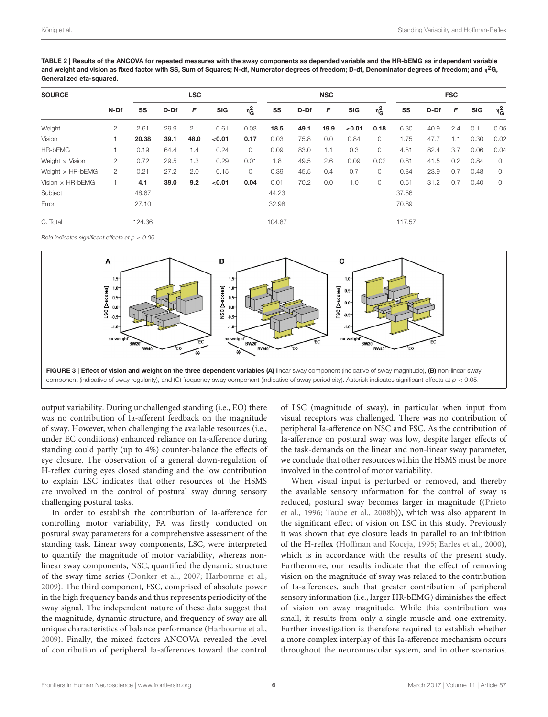<span id="page-7-0"></span>TABLE 2 | Results of the ANCOVA for repeated measures with the sway components as depended variable and the HR-bEMG as independent variable and weight and vision as fixed factor with SS, Sum of Squares; N-df, Numerator degrees of freedom; D-df, Denominator degrees of freedom; and  $\eta^2$ G, Generalized eta-squared.

| <b>SOURCE</b>           |                | <b>LSC</b> |      |      |            |         |        | <b>NSC</b> |      |            |         | <b>FSC</b> |      |     |            |         |
|-------------------------|----------------|------------|------|------|------------|---------|--------|------------|------|------------|---------|------------|------|-----|------------|---------|
|                         | N-Df           | SS         | D-Df | F    | <b>SIG</b> | $n_G^2$ | SS     | D-Df       | F    | <b>SIG</b> | $n_G^2$ | SS         | D-Df | F   | <b>SIG</b> | $n_G^2$ |
| Weight                  | 2              | 2.61       | 29.9 | 2.1  | 0.61       | 0.03    | 18.5   | 49.1       | 19.9 | < 0.01     | 0.18    | 6.30       | 40.9 | 2.4 | 0.1        | 0.05    |
| Vision                  |                | 20.38      | 39.1 | 48.0 | < 0.01     | 0.17    | 0.03   | 75.8       | 0.0  | 0.84       | $\circ$ | 1.75       | 47.7 | 1.1 | 0.30       | 0.02    |
| <b>HR-bEMG</b>          |                | 0.19       | 64.4 | 1.4  | 0.24       | $\circ$ | 0.09   | 83.0       | 1.1  | 0.3        | $\circ$ | 4.81       | 82.4 | 3.7 | 0.06       | 0.04    |
| Weight $\times$ Vision  | 2              | 0.72       | 29.5 | 1.3  | 0.29       | 0.01    | 1.8    | 49.5       | 2.6  | 0.09       | 0.02    | 0.81       | 41.5 | 0.2 | 0.84       | $\circ$ |
| Weight $\times$ HR-bEMG | $\overline{2}$ | 0.21       | 27.2 | 2.0  | 0.15       | $\circ$ | 0.39   | 45.5       | 0.4  | 0.7        | $\circ$ | 0.84       | 23.9 | 0.7 | 0.48       | $\circ$ |
| Vision $\times$ HR-bEMG |                | 4.1        | 39.0 | 9.2  | < 0.01     | 0.04    | 0.01   | 70.2       | 0.0  | 1.0        | 0       | 0.51       | 31.2 | 0.7 | 0.40       | $\circ$ |
| Subject                 |                | 48.67      |      |      |            |         | 44.23  |            |      |            |         | 37.56      |      |     |            |         |
| Error                   |                | 27.10      |      |      |            |         | 32.98  |            |      |            |         | 70.89      |      |     |            |         |
| C. Total                |                | 124.36     |      |      |            |         | 104.87 |            |      |            |         | 117.57     |      |     |            |         |

Bold indicates significant effects at  $p < 0.05$ 



<span id="page-7-1"></span>output variability. During unchallenged standing (i.e., EO) there was no contribution of Ia-afferent feedback on the magnitude of sway. However, when challenging the available resources (i.e., under EC conditions) enhanced reliance on Ia-afference during standing could partly (up to 4%) counter-balance the effects of eye closure. The observation of a general down-regulation of H-reflex during eyes closed standing and the low contribution to explain LSC indicates that other resources of the HSMS are involved in the control of postural sway during sensory challenging postural tasks.

In order to establish the contribution of Ia-afference for controlling motor variability, FA was firstly conducted on postural sway parameters for a comprehensive assessment of the standing task. Linear sway components, LSC, were interpreted to quantify the magnitude of motor variability, whereas nonlinear sway components, NSC, quantified the dynamic structure of the sway time series [\(Donker et al., 2007;](#page-9-25) [Harbourne et al.,](#page-9-26) [2009\)](#page-9-26). The third component, FSC, comprised of absolute power in the high frequency bands and thus represents periodicity of the sway signal. The independent nature of these data suggest that the magnitude, dynamic structure, and frequency of sway are all unique characteristics of balance performance [\(Harbourne et al.,](#page-9-26) [2009\)](#page-9-26). Finally, the mixed factors ANCOVA revealed the level of contribution of peripheral Ia-afferences toward the control of LSC (magnitude of sway), in particular when input from visual receptors was challenged. There was no contribution of peripheral Ia-afference on NSC and FSC. As the contribution of Ia-afference on postural sway was low, despite larger effects of the task-demands on the linear and non-linear sway parameter, we conclude that other resources within the HSMS must be more involved in the control of motor variability.

When visual input is perturbed or removed, and thereby the available sensory information for the control of sway is reduced, postural sway becomes larger in magnitude ((Prieto et al., [1996;](#page-9-0) [Taube et al., 2008b\)](#page-10-9)), which was also apparent in the significant effect of vision on LSC in this study. Previously it was shown that eye closure leads in parallel to an inhibition of the H-reflex [\(Hoffman and Koceja, 1995;](#page-9-27) [Earles et al., 2000\)](#page-9-28), which is in accordance with the results of the present study. Furthermore, our results indicate that the effect of removing vision on the magnitude of sway was related to the contribution of Ia-afferences, such that greater contribution of peripheral sensory information (i.e., larger HR-bEMG) diminishes the effect of vision on sway magnitude. While this contribution was small, it results from only a single muscle and one extremity. Further investigation is therefore required to establish whether a more complex interplay of this Ia-afference mechanism occurs throughout the neuromuscular system, and in other scenarios.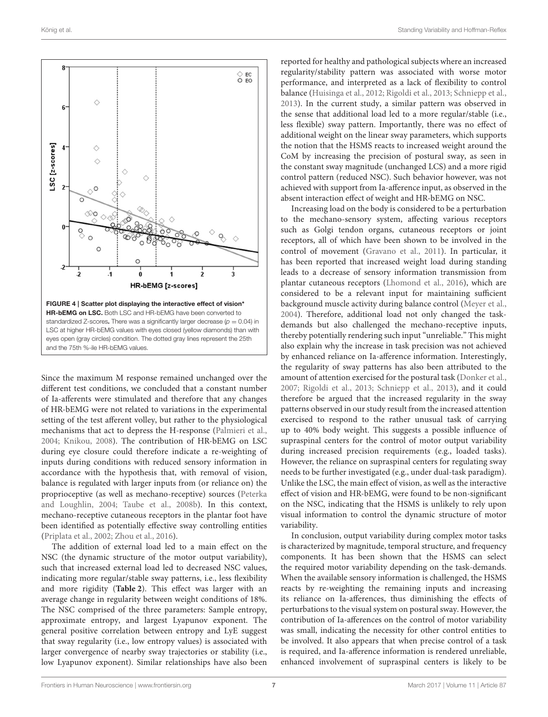

<span id="page-8-0"></span>Since the maximum M response remained unchanged over the different test conditions, we concluded that a constant number of Ia-afferents were stimulated and therefore that any changes of HR-bEMG were not related to variations in the experimental setting of the test afferent volley, but rather to the physiological mechanisms that act to depress the H-response [\(Palmieri et al.,](#page-9-19) [2004;](#page-9-19) [Knikou, 2008\)](#page-9-13). The contribution of HR-bEMG on LSC during eye closure could therefore indicate a re-weighting of inputs during conditions with reduced sensory information in accordance with the hypothesis that, with removal of vision, balance is regulated with larger inputs from (or reliance on) the proprioceptive (as well as mechano-receptive) sources (Peterka and Loughlin, [2004;](#page-9-12) [Taube et al., 2008b\)](#page-10-9). In this context, mechano-receptive cutaneous receptors in the plantar foot have been identified as potentially effective sway controlling entities [\(Priplata et al., 2002;](#page-9-29) [Zhou et al., 2016\)](#page-10-10).

The addition of external load led to a main effect on the NSC (the dynamic structure of the motor output variability), such that increased external load led to decreased NSC values, indicating more regular/stable sway patterns, i.e., less flexibility and more rigidity (**[Table 2](#page-7-0)**). This effect was larger with an average change in regularity between weight conditions of 18%. The NSC comprised of the three parameters: Sample entropy, approximate entropy, and largest Lyapunov exponent. The general positive correlation between entropy and LyE suggest that sway regularity (i.e., low entropy values) is associated with larger convergence of nearby sway trajectories or stability (i.e., low Lyapunov exponent). Similar relationships have also been

reported for healthy and pathological subjects where an increased regularity/stability pattern was associated with worse motor performance, and interpreted as a lack of flexibility to control balance [\(Huisinga et al., 2012;](#page-9-30) [Rigoldi et al., 2013;](#page-9-31) [Schniepp et al.,](#page-9-32) [2013\)](#page-9-32). In the current study, a similar pattern was observed in the sense that additional load led to a more regular/stable (i.e., less flexible) sway pattern. Importantly, there was no effect of additional weight on the linear sway parameters, which supports the notion that the HSMS reacts to increased weight around the CoM by increasing the precision of postural sway, as seen in the constant sway magnitude (unchanged LCS) and a more rigid control pattern (reduced NSC). Such behavior however, was not achieved with support from Ia-afference input, as observed in the absent interaction effect of weight and HR-bEMG on NSC.

Increasing load on the body is considered to be a perturbation to the mechano-sensory system, affecting various receptors such as Golgi tendon organs, cutaneous receptors or joint receptors, all of which have been shown to be involved in the control of movement [\(Gravano et al., 2011\)](#page-9-33). In particular, it has been reported that increased weight load during standing leads to a decrease of sensory information transmission from plantar cutaneous receptors [\(Lhomond et al., 2016\)](#page-9-34), which are considered to be a relevant input for maintaining sufficient background muscle activity during balance control [\(Meyer et al.,](#page-9-35) [2004\)](#page-9-35). Therefore, additional load not only changed the taskdemands but also challenged the mechano-receptive inputs, thereby potentially rendering such input "unreliable." This might also explain why the increase in task precision was not achieved by enhanced reliance on Ia-afference information. Interestingly, the regularity of sway patterns has also been attributed to the amount of attention exercised for the postural task [\(Donker et al.,](#page-9-25) [2007;](#page-9-25) [Rigoldi et al., 2013;](#page-9-31) [Schniepp et al., 2013\)](#page-9-32), and it could therefore be argued that the increased regularity in the sway patterns observed in our study result from the increased attention exercised to respond to the rather unusual task of carrying up to 40% body weight. This suggests a possible influence of supraspinal centers for the control of motor output variability during increased precision requirements (e.g., loaded tasks). However, the reliance on supraspinal centers for regulating sway needs to be further investigated (e.g., under dual-task paradigm). Unlike the LSC, the main effect of vision, as well as the interactive effect of vision and HR-bEMG, were found to be non-significant on the NSC, indicating that the HSMS is unlikely to rely upon visual information to control the dynamic structure of motor variability.

In conclusion, output variability during complex motor tasks is characterized by magnitude, temporal structure, and frequency components. It has been shown that the HSMS can select the required motor variability depending on the task-demands. When the available sensory information is challenged, the HSMS reacts by re-weighting the remaining inputs and increasing its reliance on Ia-afferences, thus diminishing the effects of perturbations to the visual system on postural sway. However, the contribution of Ia-afferences on the control of motor variability was small, indicating the necessity for other control entities to be involved. It also appears that when precise control of a task is required, and Ia-afference information is rendered unreliable, enhanced involvement of supraspinal centers is likely to be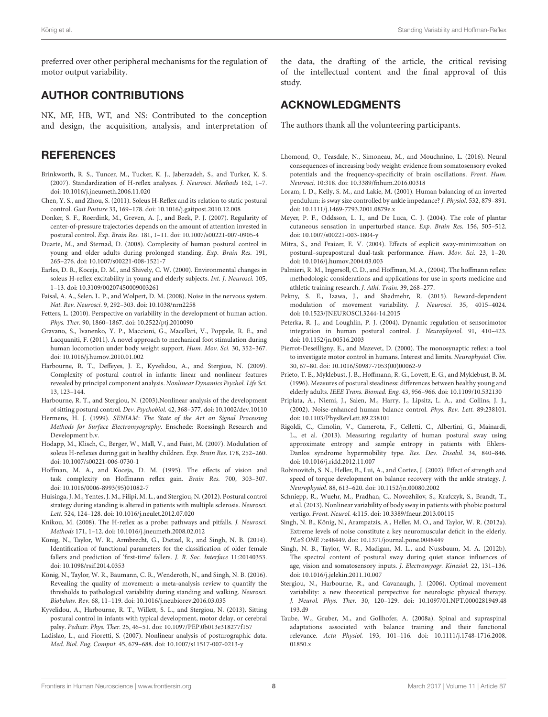preferred over other peripheral mechanisms for the regulation of motor output variability.

#### AUTHOR CONTRIBUTIONS

NK, MF, HB, WT, and NS: Contributed to the conception and design, the acquisition, analysis, and interpretation of

#### **REFERENCES**

- <span id="page-9-21"></span>Brinkworth, R. S., Tuncer, M., Tucker, K. J., Jaberzadeh, S., and Turker, K. S. (2007). Standardization of H-reflex analyses. J. Neurosci. Methods 162, 1–7. doi: [10.1016/j.jneumeth.2006.11.020](https://doi.org/10.1016/j.jneumeth.2006.11.020)
- <span id="page-9-20"></span>Chen, Y. S., and Zhou, S. (2011). Soleus H-Reflex and its relation to static postural control. Gait Posture 33, 169–178. doi: [10.1016/j.gaitpost.2010.12.008](https://doi.org/10.1016/j.gaitpost.2010.12.008)
- <span id="page-9-25"></span>Donker, S. F., Roerdink, M., Greven, A. J., and Beek, P. J. (2007). Regularity of center-of-pressure trajectories depends on the amount of attention invested in postural control. Exp. Brain Res. 181, 1–11. doi: [10.1007/s00221-007-0905-4](https://doi.org/10.1007/s00221-007-0905-4)
- <span id="page-9-23"></span>Duarte, M., and Sternad, D. (2008). Complexity of human postural control in young and older adults during prolonged standing. Exp. Brain Res. 191, 265–276. doi: [10.1007/s00221-008-1521-7](https://doi.org/10.1007/s00221-008-1521-7)
- <span id="page-9-28"></span>Earles, D. R., Koceja, D. M., and Shively, C. W. (2000). Environmental changes in soleus H-reflex excitability in young and elderly subjects. Int. J. Neurosci. 105, 1–13. doi: [10.3109/00207450009003261](https://doi.org/10.3109/00207450009003261)
- <span id="page-9-4"></span>Faisal, A. A., Selen, L. P., and Wolpert, D. M. (2008). Noise in the nervous system. Nat. Rev. Neurosci. 9, 292–303. doi: [10.1038/nrn2258](https://doi.org/10.1038/nrn2258)
- <span id="page-9-6"></span>Fetters, L. (2010). Perspective on variability in the development of human action. Phys. Ther. 90, 1860–1867. doi: [10.2522/ptj.2010090](https://doi.org/10.2522/ptj.2010090)
- <span id="page-9-33"></span>Gravano, S., Ivanenko, Y. P., Maccioni, G., Macellari, V., Poppele, R. E., and Lacquaniti, F. (2011). A novel approach to mechanical foot stimulation during human locomotion under body weight support. Hum. Mov. Sci. 30, 352–367. doi: [10.1016/j.humov.2010.01.002](https://doi.org/10.1016/j.humov.2010.01.002)
- <span id="page-9-26"></span>Harbourne, R. T., Deffeyes, J. E., Kyvelidou, A., and Stergiou, N. (2009). Complexity of postural control in infants: linear and nonlinear features revealed by principal component analysis. Nonlinear Dynamics Psychol. Life Sci. 13, 123–144.
- <span id="page-9-5"></span>Harbourne, R. T., and Stergiou, N. (2003).Nonlinear analysis of the development of sitting postural control. Dev. Psychobiol. 42, 368–377. doi: [10.1002/dev.10110](https://doi.org/10.1002/dev.10110)
- <span id="page-9-18"></span>Hermens, H. J. (1999). SENIAM: The State of the Art on Signal Processing Methods for Surface Electromyography. Enschede: Roessingh Research and Development b.v.
- <span id="page-9-14"></span>Hodapp, M., Klisch, C., Berger, W., Mall, V., and Faist, M. (2007). Modulation of soleus H-reflexes during gait in healthy children. Exp. Brain Res. 178, 252–260. doi: [10.1007/s00221-006-0730-1](https://doi.org/10.1007/s00221-006-0730-1)
- <span id="page-9-27"></span>Hoffman, M. A., and Koceja, D. M. (1995). The effects of vision and task complexity on Hoffmann reflex gain. Brain Res. 700, 303–307. doi: [10.1016/0006-8993\(95\)01082-7](https://doi.org/10.1016/0006-8993(95)01082-7)
- <span id="page-9-30"></span>Huisinga, J. M., Yentes, J. M., Filipi, M. L., and Stergiou, N. (2012). Postural control strategy during standing is altered in patients with multiple sclerosis. Neurosci. Lett. 524, 124–128. doi: [10.1016/j.neulet.2012.07.020](https://doi.org/10.1016/j.neulet.2012.07.020)
- <span id="page-9-13"></span>Knikou, M. (2008). The H-reflex as a probe: pathways and pitfalls. J. Neurosci. Methods 171, 1–12. doi: [10.1016/j.jneumeth.2008.02.012](https://doi.org/10.1016/j.jneumeth.2008.02.012)
- <span id="page-9-22"></span>König, N., Taylor, W. R., Armbrecht, G., Dietzel, R., and Singh, N. B. (2014). Identification of functional parameters for the classification of older female fallers and prediction of 'first-time' fallers. J. R. Soc. Interface 11:20140353. doi: [10.1098/rsif.2014.0353](https://doi.org/10.1098/rsif.2014.0353)
- <span id="page-9-3"></span>König, N., Taylor, W. R., Baumann, C. R., Wenderoth, N., and Singh, N. B. (2016). Revealing the quality of movement: a meta-analysis review to quantify the thresholds to pathological variability during standing and walking. Neurosci. Biobehav. Rev. 68, 11–119. doi: [10.1016/j.neubiorev.2016.03.035](https://doi.org/10.1016/j.neubiorev.2016.03.035)
- <span id="page-9-7"></span>Kyvelidou, A., Harbourne, R. T., Willett, S. L., and Stergiou, N. (2013). Sitting postural control in infants with typical development, motor delay, or cerebral palsy. Pediatr. Phys. Ther. 25, 46–51. doi: [10.1097/PEP.0b013e318277f157](https://doi.org/10.1097/PEP.0b013e318277f157)
- <span id="page-9-24"></span>Ladislao, L., and Fioretti, S. (2007). Nonlinear analysis of posturographic data. Med. Biol. Eng. Comput. 45, 679–688. doi: [10.1007/s11517-007-0213-y](https://doi.org/10.1007/s11517-007-0213-y)

the data, the drafting of the article, the critical revising of the intellectual content and the final approval of this study.

#### ACKNOWLEDGMENTS

The authors thank all the volunteering participants.

- <span id="page-9-34"></span>Lhomond, O., Teasdale, N., Simoneau, M., and Mouchnino, L. (2016). Neural consequences of increasing body weight: evidence from somatosensory evoked potentials and the frequency-specificity of brain oscillations. Front. Hum. Neurosci. 10:318. doi: [10.3389/fnhum.2016.00318](https://doi.org/10.3389/fnhum.2016.00318)
- <span id="page-9-8"></span>Loram, I. D., Kelly, S. M., and Lakie, M. (2001). Human balancing of an inverted pendulum: is sway size controlled by ankle impedance? J. Physiol. 532, 879–891. doi: [10.1111/j.1469-7793.2001.0879e.x](https://doi.org/10.1111/j.1469-7793.2001.0879e.x)
- <span id="page-9-35"></span>Meyer, P. F., Oddsson, L. I., and De Luca, C. J. (2004). The role of plantar cutaneous sensation in unperturbed stance. Exp. Brain Res. 156, 505–512. doi: [10.1007/s00221-003-1804-y](https://doi.org/10.1007/s00221-003-1804-y)
- <span id="page-9-11"></span>Mitra, S., and Fraizer, E. V. (2004). Effects of explicit sway-minimization on postural–suprapostural dual-task performance. Hum. Mov. Sci. 23, 1–20. doi: [10.1016/j.humov.2004.03.003](https://doi.org/10.1016/j.humov.2004.03.003)
- <span id="page-9-19"></span>Palmieri, R. M., Ingersoll, C. D., and Hoffman, M. A., (2004). The hoffmann reflex: methodologic considerations and applications for use in sports medicine and athletic training research. J. Athl. Train. 39, 268–277.
- <span id="page-9-9"></span>Pekny, S. E., Izawa, J., and Shadmehr, R. (2015). Reward-dependent modulation of movement variability. J. Neurosci. 35, 4015–4024. doi: [10.1523/JNEUROSCI.3244-14.2015](https://doi.org/10.1523/JNEUROSCI.3244-14.2015)
- <span id="page-9-12"></span>Peterka, R. J., and Loughlin, P. J. (2004). Dynamic regulation of sensorimotor integration in human postural control. J. Neurophysiol. 91, 410–423. doi: [10.1152/jn.00516.2003](https://doi.org/10.1152/jn.00516.2003)
- <span id="page-9-16"></span>Pierrot-Deseilligny, E., and Mazevet, D. (2000). The monosynaptic reflex: a tool to investigate motor control in humans. Interest and limits. Neurophysiol. Clin. 30, 67–80. doi: [10.1016/S0987-7053\(00\)00062-9](https://doi.org/10.1016/S0987-7053(00)00062-9)
- <span id="page-9-0"></span>Prieto, T. E., Myklebust, J. B., Hoffmann, R. G., Lovett, E. G., and Myklebust, B. M. (1996). Measures of postural steadiness: differences between healthy young and elderly adults. IEEE Trans. Biomed. Eng. 43, 956–966. doi: [10.1109/10.532130](https://doi.org/10.1109/10.532130)
- <span id="page-9-29"></span>Priplata, A., Niemi, J., Salen, M., Harry, J., Lipsitz, L. A., and Collins, J. J., (2002). Noise-enhanced human balance control. Phys. Rev. Lett. 89:238101. doi: [10.1103/PhysRevLett.89.238101](https://doi.org/10.1103/PhysRevLett.89.238101)
- <span id="page-9-31"></span>Rigoldi, C., Cimolin, V., Camerota, F., Celletti, C., Albertini, G., Mainardi, L., et al. (2013). Measuring regularity of human postural sway using approximate entropy and sample entropy in patients with Ehlers-Danlos syndrome hypermobility type. Res. Dev. Disabil. 34, 840–846. doi: [10.1016/j.ridd.2012.11.007](https://doi.org/10.1016/j.ridd.2012.11.007)
- <span id="page-9-17"></span>Robinovitch, S. N., Heller, B., Lui, A., and Cortez, J. (2002). Effect of strength and speed of torque development on balance recovery with the ankle strategy. J. Neurophysiol. 88, 613–620. doi: [10.1152/jn.00080.2002](https://doi.org/10.1152/jn.00080.2002)
- <span id="page-9-32"></span>Schniepp, R., Wuehr, M., Pradhan, C., Novozhilov, S., Krafczyk, S., Brandt, T., et al. (2013). Nonlinear variability of body sway in patients with phobic postural vertigo. Front. Neurol. 4:115. doi: [10.3389/fneur.2013.00115](https://doi.org/10.3389/fneur.2013.00115)
- <span id="page-9-2"></span>Singh, N. B., König, N., Arampatzis, A., Heller, M. O., and Taylor, W. R. (2012a). Extreme levels of noise constitute a key neuromuscular deficit in the elderly. PLoS ONE 7:e48449. doi: [10.1371/journal.pone.0048449](https://doi.org/10.1371/journal.pone.0048449)
- <span id="page-9-15"></span>Singh, N. B., Taylor, W. R., Madigan, M. L., and Nussbaum, M. A. (2012b). The spectral content of postural sway during quiet stance: influences of age, vision and somatosensory inputs. J. Electromyogr. Kinesiol. 22, 131–136. doi: [10.1016/j.jelekin.2011.10.007](https://doi.org/10.1016/j.jelekin.2011.10.007)
- <span id="page-9-10"></span>Stergiou, N., Harbourne, R., and Cavanaugh, J. (2006). Optimal movement variability: a new theoretical perspective for neurologic physical therapy. J. Neurol. Phys. Ther. [30, 120–129. doi: 10.1097/01.NPT.0000281949.48](https://doi.org/10.1097/01.NPT.0000281949.48193.d9) 193.d9
- <span id="page-9-1"></span>Taube, W., Gruber, M., and Gollhofer, A. (2008a). Spinal and supraspinal adaptations associated with balance training and their functional relevance. Acta Physiol. [193, 101–116. doi: 10.1111/j.1748-1716.2008.](https://doi.org/10.1111/j.1748-1716.2008.01850.x) 01850 x